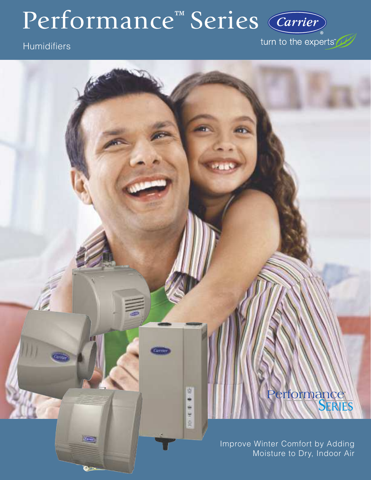# Performance<sup>™</sup> Series (Carrier)

W

۰ ë ū. ġ.

**Cours** 

# **Humidifiers**

turn to the experts

# Performance<sup>®</sup>

Improve Winter Comfort by Adding Moisture to Dry, Indoor Air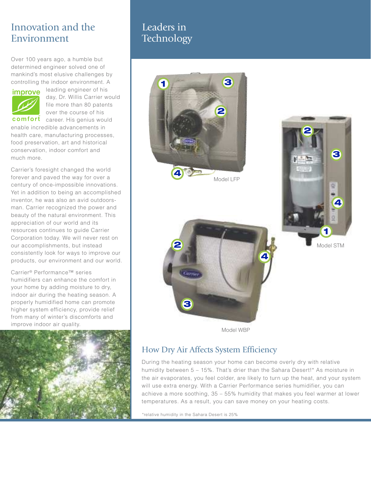# Innovation and the Environment

Over 100 years ago, a humble but determined engineer solved one of mankind's most elusive challenges by controlling the indoor environment. A



leading engineer of his day, Dr. Willis Carrier would file more than 80 patents over the course of his

comfort career. His genius would enable incredible advancements in health care, manufacturing processes, food preservation, art and historical conservation, indoor comfort and much more.

Carrier's foresight changed the world forever and paved the way for over a century of once-impossible innovations. Yet in addition to being an accomplished inventor, he was also an avid outdoorsman. Carrier recognized the power and beauty of the natural environment. This appreciation of our world and its resources continues to guide Carrier Corporation today. We will never rest on our accomplishments, but instead consistently look for ways to improve our products, our environment and our world.

Carrier® Performance™ series humidifiers can enhance the comfort in your home by adding moisture to dry, indoor air during the heating season. A properly humidified home can promote higher system efficiency, provide relief from many of winter's discomforts and improve indoor air quality.



## Leaders in **Technology**



Model WBP

## How Dry Air Affects System Efficiency

During the heating season your home can become overly dry with relative humidity between 5 - 15%. That's drier than the Sahara Desert!\* As moisture in the air evaporates, you feel colder, are likely to turn up the heat, and your system will use extra energy. With a Carrier Performance series humidifier, you can achieve a more soothing, 35 – 55% humidity that makes you feel warmer at lower temperatures. As a result, you can save money on your heating costs.

\*relative humidity in the Sahara Desert is 25%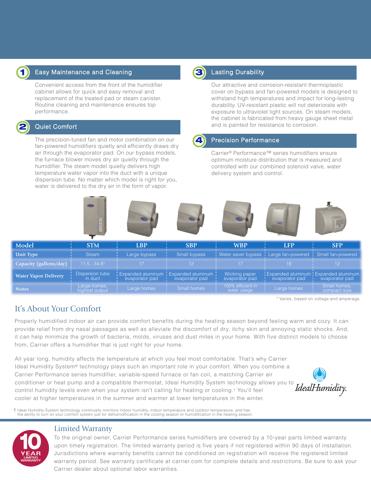

## Easy Maintenance and Cleaning

Convenient access from the front of the humidifier cabinet allows for quick and easy removal and replacement of the treated pad or steam canister. Routine cleaning and maintenance ensures top performance.



#### Quiet Comfort

The precision-tuned fan and motor combination on our fan-powered humidifiers quietly and efficiently draws dry air through the evaporator pad. On our bypass models, the furnace blower moves dry air quietly through the humidifier. The steam model quietly delivers high temperature water vapor into the duct with a unique dispersion tube. No matter which model is right for you, water is delivered to the dry air in the form of vapor.



### Lasting Durability

Our attractive and corrosion-resistant thermoplastic cover on bypass and fan-powered models is designed to withstand high temperatures and impact for long-lasting durability. UV-resistant plastic will not deteriorate with exposure to ultraviolet light sources. On steam models, the cabinet is fabricated from heavy gauge sheet metal and is painted for resistance to corrosion.

## 4

#### Precision Performance

Carrier® Performance™ series humidifiers ensure optimum moisture distribution that is measured and controlled with our combined solenoid valve, water delivery system and control.



| <b>Unit Type</b>            | <b>Steam</b>                   | Large bypass   | <b>Small bypass</b>                                       |                                  | Water saver bypass   Large fan-powered   Small fan-powered |                              |
|-----------------------------|--------------------------------|----------------|-----------------------------------------------------------|----------------------------------|------------------------------------------------------------|------------------------------|
| Capacity (gallons/day)      | $11.5 - 34.6*$                 |                |                                                           |                                  |                                                            |                              |
| <b>Water Vapor Delivery</b> | Dispersion tube<br>in duct     | evaporator pad | Expanded aluminum   Expanded aluminum  <br>evaporator pad | Wicking paper<br>evaporator pad  | Expanded aluminum ! Expanded aluminum  <br>evaporator pad  | evaporator pad               |
| Notes/                      | Large homes,<br>highest output | Large homes    | Small homes                                               | 100% efficient in<br>water usage | Large homes                                                | Small homes,<br>compact size |

\* Varies, based on voltage and amperage.

## It's About Your Comfort

Properly humidified indoor air can provide comfort benefits during the heating season beyond feeling warm and cozy. It can provide relief from dry nasal passages as well as alleviate the discomfort of dry, itchy skin and annoying static shocks. And, it can help minimize the growth of bacteria, molds, viruses and dust mites in your home. With five distinct models to choose from, Carrier offers a humidifier that is just right for your home.

All year long, humidity affects the temperature at which you feel most comfortable. That's why Carrier Ideal Humidity System® technology plays such an important role in your comfort. When you combine a Carrier Performance series humidifier, variable-speed furnace or fan coil, a matching Carrier air conditioner or heat pump and a compatible thermostat, Ideal Humidity System technology allows you to control humidity levels even when your system isn't calling for heating or cooling.† You'll feel cooler at higher temperatures in the summer and warmer at lower temperatures in the winter.



t Ideal Humidity System technology continually monitors indoor humidity, indoor temperature and outdoor temperature, and has<br>the ability to turn on your comfort system just for dehumidification in the cooling season or hum



### Limited Warranty

To the original owner, Carrier Performance series humidifiers are covered by a 10-year parts limited warranty upon timely registration. The limited warranty period is five years if not registered within 90 days of installation. Jurisdictions where warranty benefits cannot be conditioned on registration will receive the registered limited warranty period. See warranty certificate at carrier.com for complete details and restrictions. Be sure to ask your Carrier dealer about optional labor warranties.